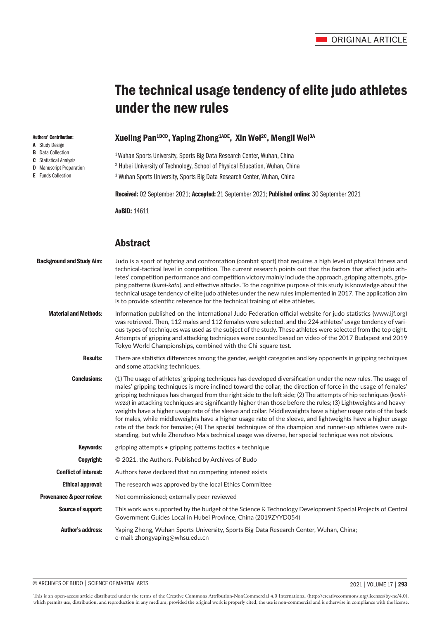# The technical usage tendency of elite judo athletes under the new rules

# Xueling Pan<sup>1BCD</sup>, Yaping Zhong<sup>1ADE</sup>, Xin Wei<sup>2C</sup>, Mengli Wei<sup>3A</sup>

<sup>1</sup> Wuhan Sports University, Sports Big Data Research Center, Wuhan, China

2 Hubei University of Technology, School of Physical Education, Wuhan, China

3 Wuhan Sports University, Sports Big Data Research Center, Wuhan, China

Received: 02 September 2021; Accepted: 21 September 2021; Published online: 30 September 2021

AoBID: 14611

# Abstract

| <b>Background and Study Aim:</b> | Judo is a sport of fighting and confrontation (combat sport) that requires a high level of physical fitness and<br>technical-tactical level in competition. The current research points out that the factors that affect judo ath-<br>letes' competition performance and competition victory mainly include the approach, gripping attempts, grip-<br>ping patterns (kumi-kata), and effective attacks. To the cognitive purpose of this study is knowledge about the<br>technical usage tendency of elite judo athletes under the new rules implemented in 2017. The application aim<br>is to provide scientific reference for the technical training of elite athletes.                                                                                                                                                                                                                                                     |
|----------------------------------|-------------------------------------------------------------------------------------------------------------------------------------------------------------------------------------------------------------------------------------------------------------------------------------------------------------------------------------------------------------------------------------------------------------------------------------------------------------------------------------------------------------------------------------------------------------------------------------------------------------------------------------------------------------------------------------------------------------------------------------------------------------------------------------------------------------------------------------------------------------------------------------------------------------------------------|
| <b>Material and Methods:</b>     | Information published on the International Judo Federation official website for judo statistics (www.ijf.org)<br>was retrieved. Then, 112 males and 112 females were selected, and the 224 athletes' usage tendency of vari-<br>ous types of techniques was used as the subject of the study. These athletes were selected from the top eight.<br>Attempts of gripping and attacking techniques were counted based on video of the 2017 Budapest and 2019<br>Tokyo World Championships, combined with the Chi-square test.                                                                                                                                                                                                                                                                                                                                                                                                    |
| <b>Results:</b>                  | There are statistics differences among the gender, weight categories and key opponents in gripping techniques<br>and some attacking techniques.                                                                                                                                                                                                                                                                                                                                                                                                                                                                                                                                                                                                                                                                                                                                                                               |
| <b>Conclusions:</b>              | (1) The usage of athletes' gripping techniques has developed diversification under the new rules. The usage of<br>males' gripping techniques is more inclined toward the collar; the direction of force in the usage of females'<br>gripping techniques has changed from the right side to the left side; (2) The attempts of hip techniques (koshi-<br>waza) in attacking techniques are significantly higher than those before the rules; (3) Lightweights and heavy-<br>weights have a higher usage rate of the sleeve and collar. Middleweights have a higher usage rate of the back<br>for males, while middleweights have a higher usage rate of the sleeve, and lightweights have a higher usage<br>rate of the back for females; (4) The special techniques of the champion and runner-up athletes were out-<br>standing, but while Zhenzhao Ma's technical usage was diverse, her special technique was not obvious. |
| <b>Keywords:</b>                 | gripping attempts • gripping patterns tactics • technique                                                                                                                                                                                                                                                                                                                                                                                                                                                                                                                                                                                                                                                                                                                                                                                                                                                                     |
| Copyright:                       | © 2021, the Authors. Published by Archives of Budo                                                                                                                                                                                                                                                                                                                                                                                                                                                                                                                                                                                                                                                                                                                                                                                                                                                                            |
| <b>Conflict of interest:</b>     | Authors have declared that no competing interest exists                                                                                                                                                                                                                                                                                                                                                                                                                                                                                                                                                                                                                                                                                                                                                                                                                                                                       |
| <b>Ethical approval:</b>         | The research was approved by the local Ethics Committee                                                                                                                                                                                                                                                                                                                                                                                                                                                                                                                                                                                                                                                                                                                                                                                                                                                                       |
| Provenance & peer review:        | Not commissioned; externally peer-reviewed                                                                                                                                                                                                                                                                                                                                                                                                                                                                                                                                                                                                                                                                                                                                                                                                                                                                                    |
| Source of support:               | This work was supported by the budget of the Science & Technology Development Special Projects of Central<br>Government Guides Local in Hubei Province, China (2019ZYYD054)                                                                                                                                                                                                                                                                                                                                                                                                                                                                                                                                                                                                                                                                                                                                                   |
| <b>Author's address:</b>         | Yaping Zhong, Wuhan Sports University, Sports Big Data Research Center, Wuhan, China;<br>e-mail: zhongyaping@whsu.edu.cn                                                                                                                                                                                                                                                                                                                                                                                                                                                                                                                                                                                                                                                                                                                                                                                                      |

#### © ARCHIVES OF BUDO | SCIENCE OF MARTIAL ARTS 2021 | VOLUME 17 | **293**

This is an open-access article distributed under the terms of the Creative Commons Attribution-NonCommercial 4.0 International (http://creativecommons.org/licenses/by-nc/4.0), which permits use, distribution, and reproduction in any medium, provided the original work is properly cited, the use is non-commercial and is otherwise in compliance with the license.

# Authors' Contribution:

- A Study Design
- **B** Data Collection
- C Statistical Analysis
- **D** Manuscript Preparation
- E Funds Collection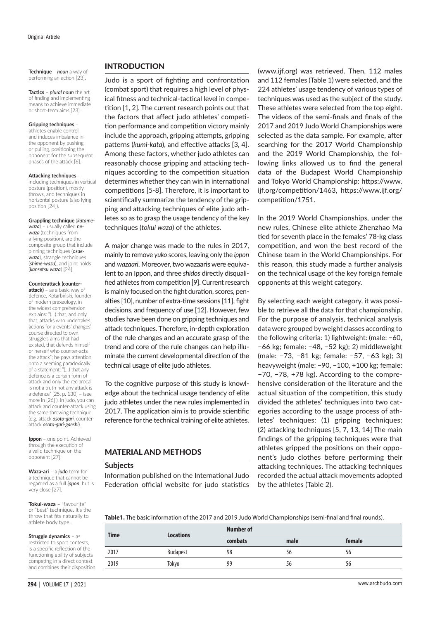**Technique** – *noun* a way of performing an action [23].

**Tactics** – *plural noun* the art of finding and implementing means to achieve immediate or short-term aims [23].

#### **Gripping techniques** –

athletes enable control and induces imbalance in the opponent by pushing or pulling, positioning the opponent for the subsequent phases of the attack [6].

#### **Attacking techniques** –

including techniques in vertical posture (position), mostly throws, and techniques in horizontal posture (also lying position [24]).

#### **Grappling technique** (*katame-*

*waza*) – usually called *newaza* (techniques from a lying position), are the composite group that include pinning techniques (*osaewaza*), strangle techniques (*shime-waza*), and joint holds (*kansetsu waza*) [24].

#### **Counterattack (counter-**

**attack)** – as a basic way of defence. Kotarbiński, founder of modern praxeology, in the widest comprehension explains: "(…) that, and only that, attacks who undertakes actions for a events' changes' course directed to own struggle's aims that had existed, that defends himself or herself who counter-acts the attack"; he pays attention onto a seeming paradoxically of a statement: "(…) that any defence is a certain form of attack and only the reciprocal is not a truth not any attack is a defence" [25, p. 130] – (see more in [26] ). In judo, you can attack and counter-attack using the same throwing technique (e.g. attack *osoto-gari*, counterattack *osoto-gari-gaeshi*).

**Ippon** – one point. Achieved through the execution of a valid technique on the opponent [27].

**Waza-ari** – a *judo* term for a technique that cannot be regarded as a full *ippon*, but is very close [27].

**Tokui-waza** – "favourite" or "best" technique. It's the throw that fits naturally to athlete body type.

**Struggle dynamics** – as restricted to sport contests, is a specific reflection of the functioning ability of subjects competing in a direct contest and combines their disposition

# INTRODUCTION

Judo is a sport of fighting and confrontation (combat sport) that requires a high level of physical fitness and technical-tactical level in competition [1, 2]. The current research points out that the factors that affect judo athletes' competition performance and competition victory mainly include the approach, gripping attempts, gripping patterns (*kumi-kata*), and effective attacks [3, 4]. Among these factors, whether judo athletes can reasonably choose gripping and attacking techniques according to the competition situation determines whether they can win in international competitions [5-8]. Therefore, it is important to scientifically summarize the tendency of the gripping and attacking techniques of elite judo athletes so as to grasp the usage tendency of the key techniques (*tokui waza*) of the athletes.

A major change was made to the rules in 2017, mainly to remove *yuko* scores, leaving only the *ippon* and *wazaari*. Moreover, two wazaaris were equivalent to an Ippon, and three *shidos* directly disqualified athletes from competition [9]. Current research is mainly focused on the fight duration, scores, penalties [10], number of extra-time sessions [11], fight decisions, and frequency of use [12]. However, few studies have been done on gripping techniques and attack techniques. Therefore, in-depth exploration of the rule changes and an accurate grasp of the trend and core of the rule changes can help illuminate the current developmental direction of the technical usage of elite judo athletes.

To the cognitive purpose of this study is knowledge about the technical usage tendency of elite judo athletes under the new rules implemented in 2017. The application aim is to provide scientific reference for the technical training of elite athletes.

# MATERIAL AND METHODS

#### **Subjects**

Information published on the International Judo Federation official website for judo statistics (www.ijf.org) was retrieved. Then, 112 males and 112 females (Table 1) were selected, and the 224 athletes' usage tendency of various types of techniques was used as the subject of the study. These athletes were selected from the top eight. The videos of the semi-finals and finals of the 2017 and 2019 Judo World Championships were selected as the data sample. For example, after searching for the 2017 World Championship and the 2019 World Championship, the following links allowed us to find the general data of the Budapest World Championship and Tokyo World Championship: https://www. ijf.org/competition/1463, https://www.ijf.org/ competition/1751.

In the 2019 World Championships, under the new rules, Chinese elite athlete Zhenzhao Ma tied for seventh place in the females' 78-kg class competition, and won the best record of the Chinese team in the World Championships. For this reason, this study made a further analysis on the technical usage of the key foreign female opponents at this weight category.

By selecting each weight category, it was possible to retrieve all the data for that championship. For the purpose of analysis, technical analysis data were grouped by weight classes according to the following criteria: 1) lightweight: (male: −60, −66 kg; female: −48, −52 kg); 2) middleweight (male: −73, −81 kg; female: −57, −63 kg); 3) heavyweight (male: −90, −100, +100 kg; female: −70, −78, +78 kg). According to the comprehensive consideration of the literature and the actual situation of the competition, this study divided the athletes' techniques into two categories according to the usage process of athletes' techniques: (1) gripping techniques; (2) attacking techniques [5, 7, 13, 14] The main findings of the gripping techniques were that athletes gripped the positions on their opponent's judo clothes before performing their attacking techniques. The attacking techniques recorded the actual attack movements adopted by the athletes (Table 2).

**Table1.** The basic information of the 2017 and 2019 Judo World Championships (semi-final and final rounds).

| <b>Time</b> | <b>Locations</b> | Number of |      |        |
|-------------|------------------|-----------|------|--------|
|             |                  | combats   | male | female |
| 2017        | <b>Budapest</b>  | 98        | 56   | 56     |
| 2019        | Tokyo            | 99        | 56   | 56     |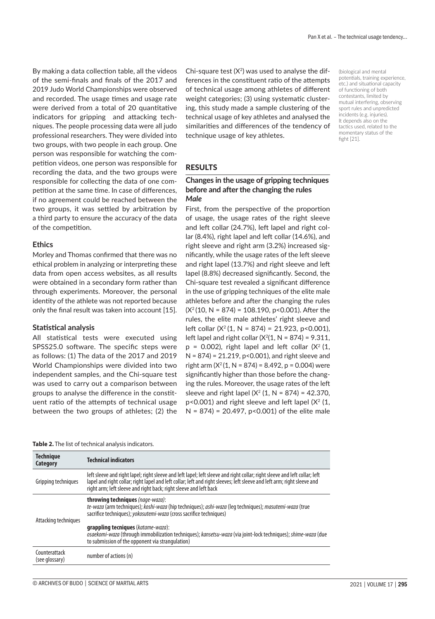By making a data collection table, all the videos of the semi-finals and finals of the 2017 and 2019 Judo World Championships were observed and recorded. The usage times and usage rate were derived from a total of 20 quantitative indicators for gripping and attacking techniques. The people processing data were all judo professional researchers. They were divided into two groups, with two people in each group. One person was responsible for watching the competition videos, one person was responsible for recording the data, and the two groups were responsible for collecting the data of one competition at the same time. In case of differences, if no agreement could be reached between the two groups, it was settled by arbitration by a third party to ensure the accuracy of the data of the competition.

#### **Ethics**

Morley and Thomas confirmed that there was no ethical problem in analyzing or interpreting these data from open access websites, as all results were obtained in a secondary form rather than through experiments. Moreover, the personal identity of the athlete was not reported because only the final result was taken into account [15].

#### **Statistical analysis**

**Technique** 

All statistical tests were executed using SPSS25.0 software. The specific steps were as follows: (1) The data of the 2017 and 2019 World Championships were divided into two independent samples, and the Chi-square test was used to carry out a comparison between groups to analyse the difference in the constituent ratio of the attempts of technical usage between the two groups of athletes; (2) the

Chi-square test  $(X^2)$  was used to analyse the differences in the constituent ratio of the attempts of technical usage among athletes of different weight categories; (3) using systematic clustering, this study made a sample clustering of the technical usage of key athletes and analysed the similarities and differences of the tendency of technique usage of key athletes.

(biological and mental potentials, training experience, etc.) and situational capacity of functioning of both contestants, limited by mutual interfering, observing sport rules and unpredicted incidents (e.g. injuries). It depends also on the tactics used, related to the momentary status of the fight [21].

#### RESULTS

#### **Changes in the usage of gripping techniques before and after the changing the rules** *Male*

First, from the perspective of the proportion of usage, the usage rates of the right sleeve and left collar (24.7%), left lapel and right collar (8.4%), right lapel and left collar (14.6%), and right sleeve and right arm (3.2%) increased significantly, while the usage rates of the left sleeve and right lapel (13.7%) and right sleeve and left lapel (8.8%) decreased significantly. Second, the Chi-square test revealed a significant difference in the use of gripping techniques of the elite male athletes before and after the changing the rules  $(X<sup>2</sup>(10, N = 874) = 108.190, p < 0.001)$ . After the rules, the elite male athletes' right sleeve and left collar  $(X^2(1, N = 874) = 21.923, p < 0.001)$ , left lapel and right collar  $(X<sup>2</sup>(1, N = 874) = 9.311)$ ,  $p = 0.002$ ), right lapel and left collar ( $X^2$  (1, N = 874) = 21.219, p<0.001), and right sleeve and right arm  $(X<sup>2</sup>(1, N = 874) = 8.492, p = 0.004)$  were significantly higher than those before the changing the rules. Moreover, the usage rates of the left sleeve and right lapel  $(X^2 (1, N = 874) = 42.370,$  $p$ <0.001) and right sleeve and left lapel ( $X^2$  (1,  $N = 874$ ) = 20.497, p<0.001) of the elite male

|  |  | Table 2. The list of technical analysis indicators. |
|--|--|-----------------------------------------------------|
|  |  |                                                     |

| recurrique<br>Category          | <b>Technical indicators</b>                                                                                                                                                                                                                                                                                                |
|---------------------------------|----------------------------------------------------------------------------------------------------------------------------------------------------------------------------------------------------------------------------------------------------------------------------------------------------------------------------|
| Gripping techniques             | left sleeve and right lapel; right sleeve and left lapel; left sleeve and right collar; right sleeve and left collar; left<br>lapel and right collar; right lapel and left collar; left and right sleeves; left sleeve and left arm; right sleeve and<br>right arm; left sleeve and right back; right sleeve and left back |
| Attacking techniques            | throwing techniques (nage-waza):<br>te-waza (arm techniques); koshi-waza (hip techniques); ashi-waza (leq techniques); masutemi-waza (true<br>sacrifice techniques); <i>yokosutemi-waza</i> (cross sacrifice techniques)                                                                                                   |
|                                 | <b>grappling tecniques</b> (katame-waza):<br>osaekomi-waza (through immobilization techniques); kansetsu-waza (via joint-lock techniques); shime-waza (due<br>to submission of the opponent via strangulation)                                                                                                             |
| Counterattack<br>(see glossary) | number of actions (n)                                                                                                                                                                                                                                                                                                      |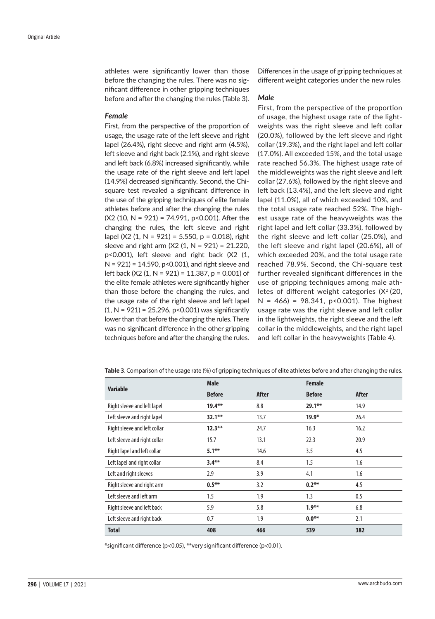athletes were significantly lower than those before the changing the rules. There was no significant difference in other gripping techniques before and after the changing the rules (Table 3).

#### *Female*

First, from the perspective of the proportion of usage, the usage rate of the left sleeve and right lapel (26.4%), right sleeve and right arm (4.5%), left sleeve and right back (2.1%), and right sleeve and left back (6.8%) increased significantly, while the usage rate of the right sleeve and left lapel (14.9%) decreased significantly. Second, the Chisquare test revealed a significant difference in the use of the gripping techniques of elite female athletes before and after the changing the rules  $(X2 (10, N = 921) = 74.991, p < 0.001)$ . After the changing the rules, the left sleeve and right lapel (X2 (1, N = 921) = 5.550, p = 0.018), right sleeve and right arm  $(X2 (1, N = 921) = 21.220$ , p<0.001), left sleeve and right back (X2 (1,  $N = 921$ ) = 14.590, p<0.001), and right sleeve and left back (X2 (1, N = 921) = 11.387, p = 0.001) of the elite female athletes were significantly higher than those before the changing the rules, and the usage rate of the right sleeve and left lapel  $(1, N = 921) = 25.296$ , p<0.001) was significantly lower than that before the changing the rules. There was no significant difference in the other gripping techniques before and after the changing the rules.

Differences in the usage of gripping techniques at different weight categories under the new rules

#### *Male*

First, from the perspective of the proportion of usage, the highest usage rate of the lightweights was the right sleeve and left collar (20.0%), followed by the left sleeve and right collar (19.3%), and the right lapel and left collar (17.0%). All exceeded 15%, and the total usage rate reached 56.3%. The highest usage rate of the middleweights was the right sleeve and left collar (27.6%), followed by the right sleeve and left back (13.4%), and the left sleeve and right lapel (11.0%), all of which exceeded 10%, and the total usage rate reached 52%. The highest usage rate of the heavyweights was the right lapel and left collar (33.3%), followed by the right sleeve and left collar (25.0%), and the left sleeve and right lapel (20.6%), all of which exceeded 20%, and the total usage rate reached 78.9%. Second, the Chi-square test further revealed significant differences in the use of gripping techniques among male athletes of different weight categories  $(X<sup>2</sup> (20,$  $N = 466$  = 98.341, p<0.001). The highest usage rate was the right sleeve and left collar in the lightweights, the right sleeve and the left collar in the middleweights, and the right lapel and left collar in the heavyweights (Table 4).

|                              | <b>Male</b>   |       | <b>Female</b> |       |
|------------------------------|---------------|-------|---------------|-------|
| <b>Variable</b>              | <b>Before</b> | After | <b>Before</b> | After |
| Right sleeve and left lapel  | $19.4***$     | 8.8   | $29.1***$     | 14.9  |
| Left sleeve and right lapel  | $32.1***$     | 13.7  | $19.9*$       | 26.4  |
| Right sleeve and left collar | $12.3***$     | 24.7  | 16.3          | 16.2  |
| Left sleeve and right collar | 15.7          | 13.1  | 22.3          | 20.9  |
| Right lapel and left collar  | $5.1***$      | 14.6  | 3.5           | 4.5   |
| Left lapel and right collar  | $3.4***$      | 8.4   | 1.5           | 1.6   |
| Left and right sleeves       | 2.9           | 3.9   | 4.1           | 1.6   |
| Right sleeve and right arm   | $0.5***$      | 3.2   | $0.2***$      | 4.5   |
| Left sleeve and left arm     | 1.5           | 1.9   | 1.3           | 0.5   |
| Right sleeve and left back   | 5.9           | 5.8   | $1.9***$      | 6.8   |
| Left sleeve and right back   | 0.7           | 1.9   | $0.0**$       | 2.1   |
| <b>Total</b>                 | 408           | 466   | 539           | 382   |

**Table 3**. Comparison of the usage rate (%) of gripping techniques of elite athletes before and after changing the rules.

\*significant difference (p<0.05), \*\*very significant difference (p<0.01).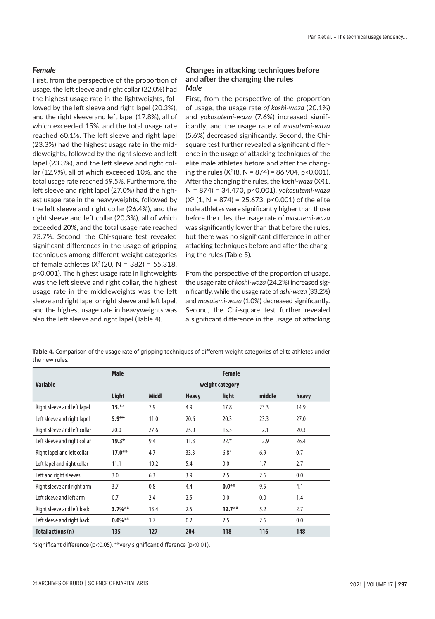# *Female*

First, from the perspective of the proportion of usage, the left sleeve and right collar (22.0%) had the highest usage rate in the lightweights, followed by the left sleeve and right lapel (20.3%), and the right sleeve and left lapel (17.8%), all of which exceeded 15%, and the total usage rate reached 60.1%. The left sleeve and right lapel (23.3%) had the highest usage rate in the middleweights, followed by the right sleeve and left lapel (23.3%), and the left sleeve and right collar (12.9%), all of which exceeded 10%, and the total usage rate reached 59.5%. Furthermore, the left sleeve and right lapel (27.0%) had the highest usage rate in the heavyweights, followed by the left sleeve and right collar (26.4%), and the right sleeve and left collar (20.3%), all of which exceeded 20%, and the total usage rate reached 73.7%. Second, the Chi-square test revealed significant differences in the usage of gripping techniques among different weight categories of female athletes  $(X^2 (20, N = 382) = 55.318,$ p<0.001). The highest usage rate in lightweights was the left sleeve and right collar, the highest usage rate in the middleweights was the left sleeve and right lapel or right sleeve and left lapel, and the highest usage rate in heavyweights was also the left sleeve and right lapel (Table 4).

## **Changes in attacking techniques before and after the changing the rules** *Male*

First, from the perspective of the proportion of usage, the usage rate *of koshi-waza* (20.1%) and *yokosutemi-waza* (7.6%) increased significantly, and the usage rate of *masutemi-waza* (5.6%) decreased significantly. Second, the Chisquare test further revealed a significant difference in the usage of attacking techniques of the elite male athletes before and after the changing the rules  $(X^2(8, N = 874) = 86.904, p < 0.001)$ . After the changing the rules, the *koshi-waza* (X<sup>2</sup>(1, N = 874) = 34.470, p<0.001), *yokosutemi-waza*  $(X<sup>2</sup> (1, N = 874) = 25.673, p < 0.001)$  of the elite male athletes were significantly higher than those before the rules, the usage rate of *masutemi-waza* was significantly lower than that before the rules, but there was no significant difference in other attacking techniques before and after the changing the rules (Table 5).

From the perspective of the proportion of usage, the usage rate of *koshi-waza* (24.2%) increased significantly, while the usage rate of *ashi-waza* (33.2%) and *masutemi-waza* (1.0%) decreased significantly. Second, the Chi-square test further revealed a significant difference in the usage of attacking

**Table 4.** Comparison of the usage rate of gripping techniques of different weight categories of elite athletes under the new rules.

|                              | <b>Male</b>     |              |              | <b>Female</b> |        |       |  |  |
|------------------------------|-----------------|--------------|--------------|---------------|--------|-------|--|--|
| <b>Variable</b>              | weight category |              |              |               |        |       |  |  |
|                              | Light           | <b>Middl</b> | <b>Heavy</b> | light         | middle | heavy |  |  |
| Right sleeve and left lapel  | $15.**$         | 7.9          | 4.9          | 17.8          | 23.3   | 14.9  |  |  |
| Left sleeve and right lapel  | $5.9***$        | 11.0         | 20.6         | 20.3          | 23.3   | 27.0  |  |  |
| Right sleeve and left collar | 20.0            | 27.6         | 25.0         | 15.3          | 12.1   | 20.3  |  |  |
| Left sleeve and right collar | $19.3*$         | 9.4          | 11.3         | $22.*$        | 12.9   | 26.4  |  |  |
| Right lapel and left collar  | $17.0***$       | 4.7          | 33.3         | $6.8*$        | 6.9    | 0.7   |  |  |
| Left lapel and right collar  | 11.1            | 10.2         | 5.4          | 0.0           | 1.7    | 2.7   |  |  |
| Left and right sleeves       | 3.0             | 6.3          | 3.9          | 2.5           | 2.6    | 0.0   |  |  |
| Right sleeve and right arm   | 3.7             | 0.8          | 4.4          | $0.0***$      | 9.5    | 4.1   |  |  |
| Left sleeve and left arm     | 0.7             | 2.4          | 2.5          | 0.0           | 0.0    | 1.4   |  |  |
| Right sleeve and left back   | $3.7\%$ **      | 13.4         | 2.5          | $12.7***$     | 5.2    | 2.7   |  |  |
| Left sleeve and right back   | $0.0\%***$      | 1.7          | 0.2          | 2.5           | 2.6    | 0.0   |  |  |
| Total actions (n)            | 135             | 127          | 204          | 118           | 116    | 148   |  |  |

\*significant difference (p<0.05), \*\*very significant difference (p<0.01).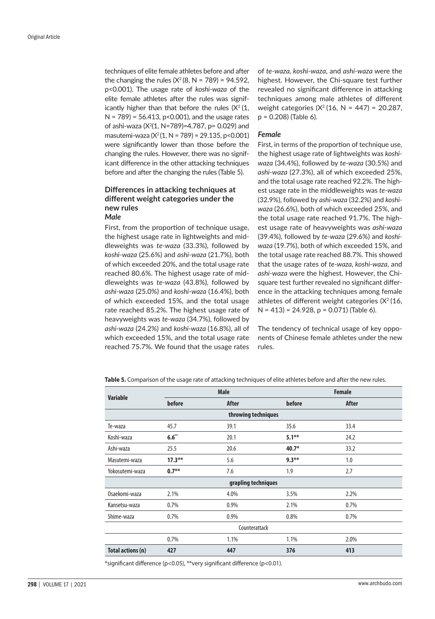techniques of elite female athletes before and after the changing the rules  $(X^2(8, N = 789) = 94.592)$ , p<0.001). The usage rate of *koshi-waza* of the elite female athletes after the rules was significantly higher than that before the rules  $(X<sup>2</sup> (1,$  $N = 789$  = 56.413, p<0.001), and the usage rates of ashi-waza (X2 (1, N=789)=4.787, p= 0.029) and masutemi-waza ( $X^2(1, N = 789) = 29.135$ , p<0.001) were significantly lower than those before the changing the rules. However, there was no significant difference in the other attacking techniques before and after the changing the rules (Table 5).

# **Differences in attacking techniques at different weight categories under the new rules** *Male*

First, from the proportion of technique usage, the highest usage rate in lightweights and middleweights was *te-waza* (33.3%), followed by *koshi-waza* (25.6%) and *ashi-waza* (21.7%), both of which exceeded 20%, and the total usage rate reached 80.6%. The highest usage rate of middleweights was *te-waza* (43.8%), followed by *ashi-waza* (25.0%) and *koshi-waza* (16.4%), both of which exceeded 15%, and the total usage rate reached 85.2%. The highest usage rate of heavyweights was *te-waza* (34.7%), followed by *ashi-waza* (24.2%) and *koshi-waza* (16.8%), all of which exceeded 15%, and the total usage rate reached 75.7%. We found that the usage rates

of *te-waza, koshi-waza*, and *ashi-waza* were the highest. However, the Chi-square test further revealed no significant difference in attacking techniques among male athletes of different weight categories ( $X^2$  (16, N = 447) = 20.287, p = 0.208) (Table 6).

#### *Female*

First, in terms of the proportion of technique use, the highest usage rate of lightweights was *koshiwaza* (34.4%), followed by *te-waza* (30.5%) and *ashi-waza* (27.3%), all of which exceeded 25%, and the total usage rate reached 92.2%. The highest usage rate in the middleweights was *te-waza* (32.9%), followed by *ashi-waza* (32.2%) and *koshiwaza* (26.6%), both of which exceeded 25%, and the total usage rate reached 91.7%. The highest usage rate of heavyweights was *ashi-waza* (39.4%), followed by *te-waza* (29.6%) and *koshiwaza* (19.7%), both of which exceeded 15%, and the total usage rate reached 88.7%. This showed that the usage rates of *te-waza, koshi-waza*, and *ashi-waza* were the highest. However, the Chisquare test further revealed no significant difference in the attacking techniques among female athletes of different weight categories  $(X<sup>2</sup>(16,$ N = 413) = 24.928, p = 0.071) (Table 6).

The tendency of technical usage of key opponents of Chinese female athletes under the new rules.

**Table 5.** Comparison of the usage rate of attacking techniques of elite athletes before and after the new rules.

| <b>Variable</b>   | <b>Male</b>      |                     | <b>Female</b> |       |  |  |
|-------------------|------------------|---------------------|---------------|-------|--|--|
|                   | before           | After               | before        | After |  |  |
|                   |                  | throwing techniques |               |       |  |  |
| Te-waza           | 45.7             | 39.1                | 35.6          | 33.4  |  |  |
| Koshi-waza        | $6.6^{\ast\ast}$ | 20.1                | $5.1***$      | 24.2  |  |  |
| Ashi-waza         | 25.5             | 20.6                | $40.7*$       | 33.2  |  |  |
| Masutemi-waza     | $17.3***$        | 5.6                 | $9.3***$      | 1.0   |  |  |
| Yokosutemi-waza   | $0.7***$         | 7.6                 | 1.9           | 2.7   |  |  |
|                   |                  | grapling techniques |               |       |  |  |
| Osaekomi-waza     | 2.1%             | 4.0%                | 3.5%          | 2.2%  |  |  |
| Kansetsu-waza     | 0.7%             | 0.9%                | 2.1%          | 0.7%  |  |  |
| Shime-waza        | 0.7%             | 0.9%                | 0.8%          | 0.7%  |  |  |
|                   | Counterattack    |                     |               |       |  |  |
|                   | 0.7%             | 1.1%                | 1.1%          | 2.0%  |  |  |
| Total actions (n) | 427              | 447                 | 376           | 413   |  |  |

\*significant difference (p<0.05), \*\*very significant difference (p<0.01).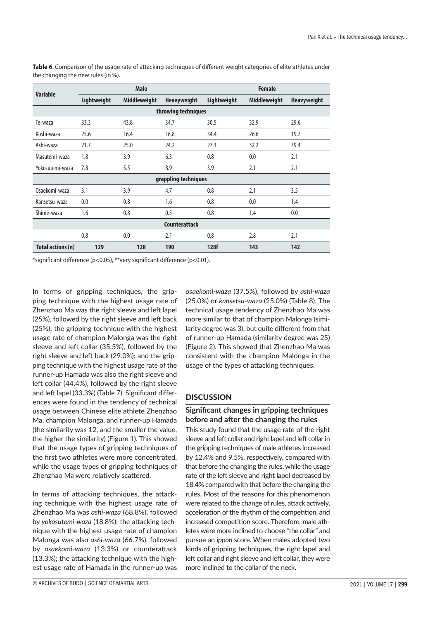| <b>Variable</b>      |             | <b>Male</b>         |                      | <b>Female</b> |                     |                    |  |
|----------------------|-------------|---------------------|----------------------|---------------|---------------------|--------------------|--|
|                      | Lightweight | <b>Middleweight</b> | <b>Heavyweight</b>   | Lightweight   | <b>Middleweight</b> | <b>Heavyweight</b> |  |
|                      |             |                     | throwing techniques  |               |                     |                    |  |
| Te-waza              | 33.3        | 43.8                | 34.7                 | 30.5          | 32.9                | 29.6               |  |
| Koshi-waza           | 25.6        | 16.4                | 16.8                 | 34.4          | 26.6                | 19.7               |  |
| Ashi-waza            | 21.7        | 25.0                | 24.2                 | 27.3          | 32.2                | 39.4               |  |
| Masutemi-waza        | 1.8         | 3.9                 | 6.3                  | 0.8           | 0.0                 | 2.1                |  |
| Yokosutemi-waza      | 7.8         | 5.5                 | 8.9                  | 3.9           | 2.1                 | 2.1                |  |
|                      |             |                     | grappling techniques |               |                     |                    |  |
| Osaekomi-waza        | 3.1         | 3.9                 | 4.7                  | 0.8           | 2.1                 | 3.5                |  |
| Kansetsu-waza        | 0.0         | 0.8                 | 1.6                  | 0.8           | 0.0                 | 1.4                |  |
| Shime-waza           | 1.6         | 0.8                 | 0.5                  | 0.8           | 1.4                 | 0.0                |  |
| <b>Counterattack</b> |             |                     |                      |               |                     |                    |  |
|                      | 0.8         | 0.0                 | 2.1                  | 0.8           | 2.8                 | 2.1                |  |
| Total actions (n)    | 129         | 128                 | 190                  | 128f          | 143                 | 142                |  |

**Table 6**. Comparison of the usage rate of attacking techniques of different weight categories of elite athletes under the changing the new rules (in %).

\*significant difference (p<0.05), \*\*very significant difference (p<0.01).

In terms of gripping techniques, the gripping technique with the highest usage rate of Zhenzhao Ma was the right sleeve and left lapel (25%), followed by the right sleeve and left back (25%); the gripping technique with the highest usage rate of champion Malonga was the right sleeve and left collar (35.5%), followed by the right sleeve and left back (29.0%); and the gripping technique with the highest usage rate of the runner-up Hamada was also the right sleeve and left collar (44.4%), followed by the right sleeve and left lapel (33.3%) (Table 7). Significant differences were found in the tendency of technical usage between Chinese elite athlete Zhenzhao Ma, champion Malonga, and runner-up Hamada (the similarity was 12, and the smaller the value, the higher the similarity) (Figure 1). This showed that the usage types of gripping techniques of the first two athletes were more concentrated, while the usage types of gripping techniques of Zhenzhao Ma were relatively scattered.

In terms of attacking techniques, the attacking technique with the highest usage rate of Zhenzhao Ma was *ashi-waza* (68.8%), followed by *yokosutemi-waza* (18.8%); the attacking technique with the highest usage rate of champion Malonga was also *ashi-waza* (66.7%), followed by *osaekomi-waza* (13.3%) or counterattack (13.3%); the attacking technique with the highest usage rate of Hamada in the runner-up was

*osaekomi-waza* (37.5%), followed by *ashi-waza* (25.0%) or *kansetsu-waza* (25.0%) (Table 8). The technical usage tendency of Zhenzhao Ma was more similar to that of champion Malonga (similarity degree was 3), but quite different from that of runner-up Hamada (similarity degree was 25) (Figure 2). This showed that Zhenzhao Ma was consistent with the champion Malonga in the usage of the types of attacking techniques.

# **DISCUSSION**

# **Significant changes in gripping techniques before and after the changing the rules**

This study found that the usage rate of the right sleeve and left collar and right lapel and left collar in the gripping techniques of male athletes increased by 12.4% and 9.5%, respectively, compared with that before the changing the rules, while the usage rate of the left sleeve and right lapel decreased by 18.4% compared with that before the changing the rules. Most of the reasons for this phenomenon were related to the change of rules, attack actively, acceleration of the rhythm of the competition, and increased competition score. Therefore, male athletes were more inclined to choose "the collar" and pursue an *ippon* score. When males adopted two kinds of gripping techniques, the right lapel and left collar and right sleeve and left collar, they were more inclined to the collar of the neck.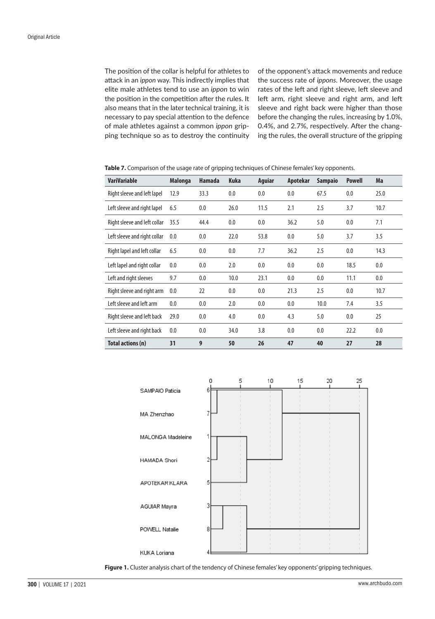The position of the collar is helpful for athletes to attack in an *ippon* way. This indirectly implies that elite male athletes tend to use an *ippon* to win the position in the competition after the rules. It also means that in the later technical training, it is necessary to pay special attention to the defence of male athletes against a common *ippon* gripping technique so as to destroy the continuity

of the opponent's attack movements and reduce the success rate of *ippons*. Moreover, the usage rates of the left and right sleeve, left sleeve and left arm, right sleeve and right arm, and left sleeve and right back were higher than those before the changing the rules, increasing by 1.0%, 0.4%, and 2.7%, respectively. After the changing the rules, the overall structure of the gripping

**Table 7.** Comparison of the usage rate of gripping techniques of Chinese females' key opponents.

| <b>VariVariable</b>          | <b>Malonga</b> | <b>Hamada</b> | <b>Kuka</b> | <b>Aquiar</b> | Apotekar | <b>Sampaio</b> | <b>Powell</b> | Ma   |
|------------------------------|----------------|---------------|-------------|---------------|----------|----------------|---------------|------|
| Right sleeve and left lapel  | 12.9           | 33.3          | 0.0         | 0.0           | 0.0      | 67.5           | 0.0           | 25.0 |
| Left sleeve and right lapel  | 6.5            | 0.0           | 26.0        | 11.5          | 2.1      | 2.5            | 3.7           | 10.7 |
| Right sleeve and left collar | 35.5           | 44.4          | 0.0         | 0.0           | 36.2     | 5.0            | 0.0           | 7.1  |
| Left sleeve and right collar | 0.0            | 0.0           | 22.0        | 53.8          | 0.0      | 5.0            | 3.7           | 3.5  |
| Right lapel and left collar  | 6.5            | 0.0           | 0.0         | 7.7           | 36.2     | 2.5            | 0.0           | 14.3 |
| Left lapel and right collar  | 0.0            | 0.0           | 2.0         | 0.0           | 0.0      | 0.0            | 18.5          | 0.0  |
| Left and right sleeves       | 9.7            | 0.0           | 10.0        | 23.1          | 0.0      | 0.0            | 11.1          | 0.0  |
| Right sleeve and right arm   | 0.0            | 22            | 0.0         | 0.0           | 21.3     | 2.5            | 0.0           | 10.7 |
| Left sleeve and left arm     | 0.0            | 0.0           | 2.0         | 0.0           | 0.0      | 10.0           | 7.4           | 3.5  |
| Right sleeve and left back   | 29.0           | 0.0           | 4.0         | 0.0           | 4.3      | 5.0            | 0.0           | 25   |
| Left sleeve and right back   | 0.0            | 0.0           | 34.0        | 3.8           | 0.0      | 0.0            | 22.2          | 0.0  |
| Total actions (n)            | 31             | 9             | 50          | 26            | 47       | 40             | 27            | 28   |



Figure 1. Cluster analysis chart of the tendency of Chinese females' key opponents' gripping techniques.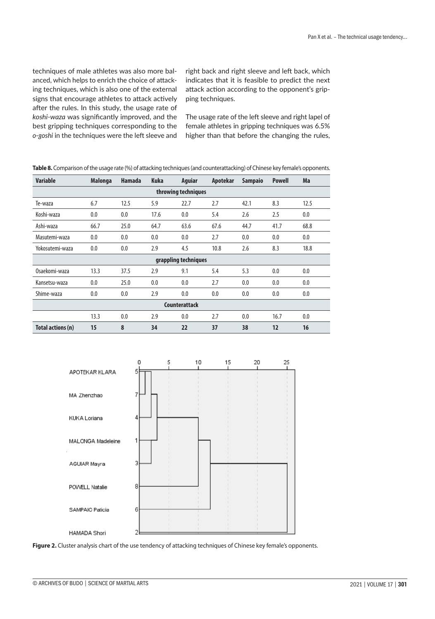techniques of male athletes was also more balanced, which helps to enrich the choice of attacking techniques, which is also one of the external signs that encourage athletes to attack actively after the rules. In this study, the usage rate of *koshi-waza* was significantly improved, and the best gripping techniques corresponding to the *o-goshi* in the techniques were the left sleeve and right back and right sleeve and left back, which indicates that it is feasible to predict the next attack action according to the opponent's gripping techniques.

The usage rate of the left sleeve and right lapel of female athletes in gripping techniques was 6.5% higher than that before the changing the rules,

| Table 8. Comparison of the usage rate (%) of attacking techniques (and counterattacking) of Chinese key female's opponents. |  |
|-----------------------------------------------------------------------------------------------------------------------------|--|
|-----------------------------------------------------------------------------------------------------------------------------|--|

| <b>Variable</b>      | <b>Malonga</b> | <b>Hamada</b> | <b>Kuka</b> | <b>Aguiar</b>        | Apotekar | <b>Sampaio</b> | <b>Powell</b> | Ma   |  |
|----------------------|----------------|---------------|-------------|----------------------|----------|----------------|---------------|------|--|
| throwing techniques  |                |               |             |                      |          |                |               |      |  |
| Te-waza              | 6.7            | 12.5          | 5.9         | 22.7                 | 2.7      | 42.1           | 8.3           | 12.5 |  |
| Koshi-waza           | 0.0            | 0.0           | 17.6        | 0.0                  | 5.4      | 2.6            | 2.5           | 0.0  |  |
| Ashi-waza            | 66.7           | 25.0          | 64.7        | 63.6                 | 67.6     | 44.7           | 41.7          | 68.8 |  |
| Masutemi-waza        | 0.0            | 0.0           | 0.0         | 0.0                  | 2.7      | 0.0            | 0.0           | 0.0  |  |
| Yokosutemi-waza      | 0.0            | 0.0           | 2.9         | 4.5                  | 10.8     | 2.6            | 8.3           | 18.8 |  |
|                      |                |               |             | grappling techniques |          |                |               |      |  |
| Osaekomi-waza        | 13.3           | 37.5          | 2.9         | 9.1                  | 5.4      | 5.3            | 0.0           | 0.0  |  |
| Kansetsu-waza        | 0.0            | 25.0          | 0.0         | 0.0                  | 2.7      | 0.0            | 0.0           | 0.0  |  |
| Shime-waza           | 0.0            | 0.0           | 2.9         | 0.0                  | 0.0      | 0.0            | 0.0           | 0.0  |  |
| <b>Counterattack</b> |                |               |             |                      |          |                |               |      |  |
|                      | 13.3           | 0.0           | 2.9         | 0.0                  | 2.7      | 0.0            | 16.7          | 0.0  |  |
| Total actions (n)    | 15             | 8             | 34          | 22                   | 37       | 38             | 12            | 16   |  |



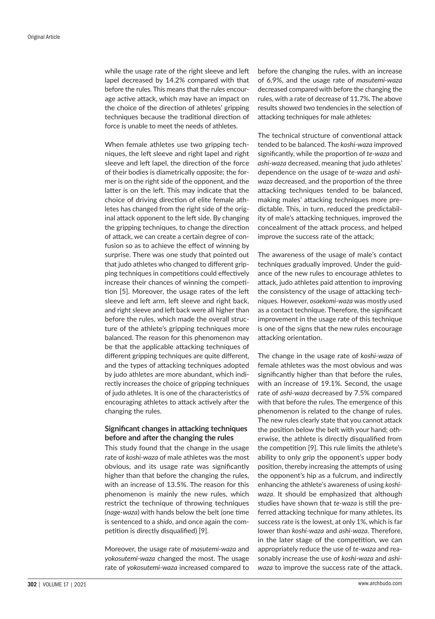while the usage rate of the right sleeve and left lapel decreased by 14.2% compared with that before the rules. This means that the rules encourage active attack, which may have an impact on the choice of the direction of athletes' gripping techniques because the traditional direction of force is unable to meet the needs of athletes.

When female athletes use two gripping techniques, the left sleeve and right lapel and right sleeve and left lapel, the direction of the force of their bodies is diametrically opposite; the former is on the right side of the opponent, and the latter is on the left. This may indicate that the choice of driving direction of elite female athletes has changed from the right side of the original attack opponent to the left side. By changing the gripping techniques, to change the direction of attack, we can create a certain degree of confusion so as to achieve the effect of winning by surprise. There was one study that pointed out that judo athletes who changed to different gripping techniques in competitions could effectively increase their chances of winning the competition [5]. Moreover, the usage rates of the left sleeve and left arm, left sleeve and right back, and right sleeve and left back were all higher than before the rules, which made the overall structure of the athlete's gripping techniques more balanced. The reason for this phenomenon may be that the applicable attacking techniques of different gripping techniques are quite different, and the types of attacking techniques adopted by judo athletes are more abundant, which indirectly increases the choice of gripping techniques of judo athletes. It is one of the characteristics of encouraging athletes to attack actively after the changing the rules.

# **Significant changes in attacking techniques before and after the changing the rules**

This study found that the change in the usage rate of *koshi-waza* of male athletes was the most obvious, and its usage rate was significantly higher than that before the changing the rules, with an increase of 13.5%. The reason for this phenomenon is mainly the new rules, which restrict the technique of throwing techniques (*nage-waza*) with hands below the belt (one time is sentenced to a *shido*, and once again the competition is directly disqualified) [9].

Moreover, the usage rate of *masutemi-waza* and *yokosutemi-waza* changed the most. The usage rate of *yokosutemi-waza* increased compared to

before the changing the rules, with an increase of 6.9%, and the usage rate of *masutemi-waza* decreased compared with before the changing the rules, with a rate of decrease of 11.7%. The above results showed two tendencies in the selection of attacking techniques for male athletes:

The technical structure of conventional attack tended to be balanced. The *koshi-waza* improved significantly, while the proportion of *te-waza* and *ashi-waza* decreased, meaning that judo athletes' dependence on the usage of *te-waza* and *ashiwaza* decreased, and the proportion of the three attacking techniques tended to be balanced, making males' attacking techniques more predictable. This, in turn, reduced the predictability of male's attacking techniques, improved the concealment of the attack process, and helped improve the success rate of the attack;

The awareness of the usage of male's contact techniques gradually improved. Under the guidance of the new rules to encourage athletes to attack, judo athletes paid attention to improving the consistency of the usage of attacking techniques. However, *osaekomi-waza* was mostly used as a contact technique. Therefore, the significant improvement in the usage rate of this technique is one of the signs that the new rules encourage attacking orientation.

The change in the usage rate of *koshi-waza* of female athletes was the most obvious and was significantly higher than that before the rules, with an increase of 19.1%. Second, the usage rate of *ashi-waza* decreased by 7.5% compared with that before the rules. The emergence of this phenomenon is related to the change of rules. The new rules clearly state that you cannot attack the position below the belt with your hand; otherwise, the athlete is directly disqualified from the competition [9]. This rule limits the athlete's ability to only grip the opponent's upper body position, thereby increasing the attempts of using the opponent's hip as a fulcrum, and indirectly enhancing the athlete's awareness of using *koshiwaza*. It should be emphasized that although studies have shown that *te-waza* is still the preferred attacking technique for many athletes, its success rate is the lowest, at only 1%, which is far lower than *koshi-waza* and *ashi-waza*. Therefore, in the later stage of the competition, we can appropriately reduce the use of *te-waza* and reasonably increase the use of *koshi-waza* and *ashiwaza* to improve the success rate of the attack.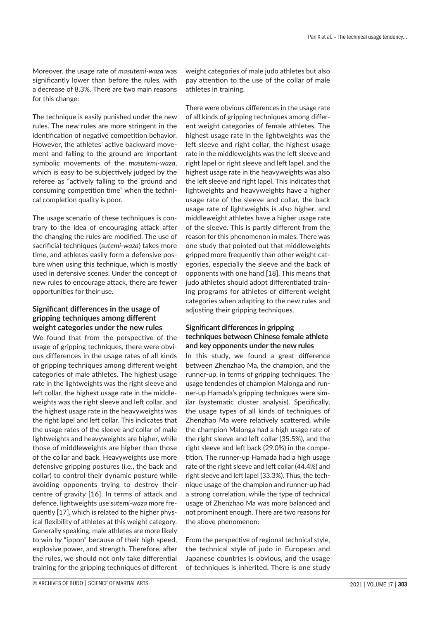Moreover, the usage rate of *masutemi-waza* was significantly lower than before the rules, with a decrease of 8.3%. There are two main reasons for this change:

The technique is easily punished under the new rules. The new rules are more stringent in the identification of negative competition behavior. However, the athletes' active backward movement and falling to the ground are important symbolic movements of the *masutemi-waza*, which is easy to be subjectively judged by the referee as "actively falling to the ground and consuming competition time" when the technical completion quality is poor.

The usage scenario of these techniques is contrary to the idea of encouraging attack after the changing the rules are modified. The use of sacrificial techniques (*sutemi-waza*) takes more time, and athletes easily form a defensive posture when using this technique, which is mostly used in defensive scenes. Under the concept of new rules to encourage attack, there are fewer opportunities for their use.

# **Significant differences in the usage of gripping techniques among different weight categories under the new rules**

We found that from the perspective of the usage of gripping techniques, there were obvious differences in the usage rates of all kinds of gripping techniques among different weight categories of male athletes. The highest usage rate in the lightweights was the right sleeve and left collar, the highest usage rate in the middleweights was the right sleeve and left collar, and the highest usage rate in the heavyweights was the right lapel and left collar. This indicates that the usage rates of the sleeve and collar of male lightweights and heavyweights are higher, while those of middleweights are higher than those of the collar and back. Heavyweights use more defensive gripping postures (i.e., the back and collar) to control their dynamic posture while avoiding opponents trying to destroy their centre of gravity [16]. In terms of attack and defence, lightweights use *sutemi-waza* more frequently [17], which is related to the higher physical flexibility of athletes at this weight category. Generally speaking, male athletes are more likely to win by "ippon" because of their high speed, explosive power, and strength. Therefore, after the rules, we should not only take differential training for the gripping techniques of different weight categories of male judo athletes but also pay attention to the use of the collar of male athletes in training.

There were obvious differences in the usage rate of all kinds of gripping techniques among different weight categories of female athletes. The highest usage rate in the lightweights was the left sleeve and right collar, the highest usage rate in the middleweights was the left sleeve and right lapel or right sleeve and left lapel, and the highest usage rate in the heavyweights was also the left sleeve and right lapel. This indicates that lightweights and heavyweights have a higher usage rate of the sleeve and collar, the back usage rate of lightweights is also higher, and middleweight athletes have a higher usage rate of the sleeve. This is partly different from the reason for this phenomenon in males. There was one study that pointed out that middleweights gripped more frequently than other weight categories, especially the sleeve and the back of opponents with one hand [18]. This means that judo athletes should adopt differentiated training programs for athletes of different weight categories when adapting to the new rules and adjusting their gripping techniques.

# **Significant differences in gripping techniques between Chinese female athlete and key opponents under the new rules**

In this study, we found a great difference between Zhenzhao Ma, the champion, and the runner-up, in terms of gripping techniques. The usage tendencies of champion Malonga and runner-up Hamada's gripping techniques were similar (systematic cluster analysis). Specifically, the usage types of all kinds of techniques of Zhenzhao Ma were relatively scattered, while the champion Malonga had a high usage rate of the right sleeve and left collar (35.5%), and the right sleeve and left back (29.0%) in the competition. The runner-up Hamada had a high usage rate of the right sleeve and left collar (44.4%) and right sleeve and left lapel (33.3%). Thus, the technique usage of the champion and runner-up had a strong correlation, while the type of technical usage of Zhenzhao Ma was more balanced and not prominent enough. There are two reasons for the above phenomenon:

From the perspective of regional technical style, the technical style of judo in European and Japanese countries is obvious, and the usage of techniques is inherited. There is one study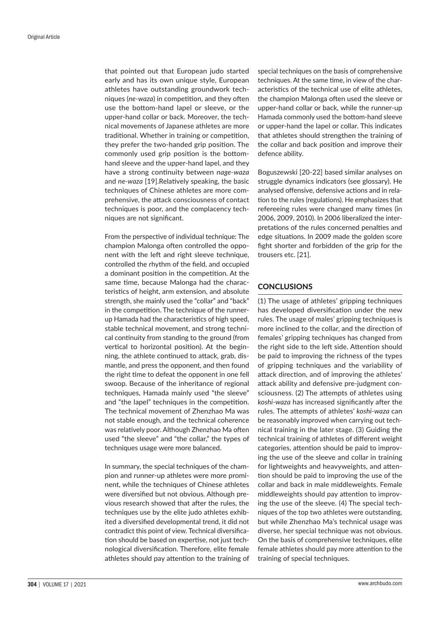that pointed out that European judo started early and has its own unique style, European athletes have outstanding groundwork techniques (*ne-waza*) in competition, and they often use the bottom-hand lapel or sleeve, or the upper-hand collar or back. Moreover, the technical movements of Japanese athletes are more traditional. Whether in training or competition, they prefer the two-handed grip position. The commonly used grip position is the bottomhand sleeve and the upper-hand lapel, and they have a strong continuity between *nage-waza* and *ne-waza* [19].Relatively speaking, the basic techniques of Chinese athletes are more comprehensive, the attack consciousness of contact techniques is poor, and the complacency techniques are not significant.

From the perspective of individual technique: The champion Malonga often controlled the opponent with the left and right sleeve technique, controlled the rhythm of the field, and occupied a dominant position in the competition. At the same time, because Malonga had the characteristics of height, arm extension, and absolute strength, she mainly used the "collar" and "back" in the competition. The technique of the runnerup Hamada had the characteristics of high speed, stable technical movement, and strong technical continuity from standing to the ground (from vertical to horizontal position). At the beginning, the athlete continued to attack, grab, dismantle, and press the opponent, and then found the right time to defeat the opponent in one fell swoop. Because of the inheritance of regional techniques, Hamada mainly used "the sleeve" and "the lapel" techniques in the competition. The technical movement of Zhenzhao Ma was not stable enough, and the technical coherence was relatively poor. Although Zhenzhao Ma often used "the sleeve" and "the collar," the types of techniques usage were more balanced.

In summary, the special techniques of the champion and runner-up athletes were more prominent, while the techniques of Chinese athletes were diversified but not obvious. Although previous research showed that after the rules, the techniques use by the elite judo athletes exhibited a diversified developmental trend, it did not contradict this point of view. Technical diversification should be based on expertise, not just technological diversification. Therefore, elite female athletes should pay attention to the training of special techniques on the basis of comprehensive techniques. At the same time, in view of the characteristics of the technical use of elite athletes, the champion Malonga often used the sleeve or upper-hand collar or back, while the runner-up Hamada commonly used the bottom-hand sleeve or upper-hand the lapel or collar. This indicates that athletes should strengthen the training of the collar and back position and improve their defence ability.

Boguszewski [20-22] based similar analyses on struggle dynamics indicators (see glossary). He analysed offensive, defensive actions and in relation to the rules (regulations). He emphasizes that refereeing rules were changed many times (in 2006, 2009, 2010). In 2006 liberalized the interpretations of the rules concerned penalties and edge situations. In 2009 made the golden score fight shorter and forbidden of the grip for the trousers etc. [21].

# **CONCLUSIONS**

(1) The usage of athletes' gripping techniques has developed diversification under the new rules. The usage of males' gripping techniques is more inclined to the collar, and the direction of females' gripping techniques has changed from the right side to the left side. Attention should be paid to improving the richness of the types of gripping techniques and the variability of attack direction, and of improving the athletes' attack ability and defensive pre-judgment consciousness. (2) The attempts of athletes using *koshi-waza* has increased significantly after the rules. The attempts of athletes' *koshi-waza* can be reasonably improved when carrying out technical training in the later stage. (3) Guiding the technical training of athletes of different weight categories, attention should be paid to improving the use of the sleeve and collar in training for lightweights and heavyweights, and attention should be paid to improving the use of the collar and back in male middleweights. Female middleweights should pay attention to improving the use of the sleeve. (4) The special techniques of the top two athletes were outstanding, but while Zhenzhao Ma's technical usage was diverse, her special technique was not obvious. On the basis of comprehensive techniques, elite female athletes should pay more attention to the training of special techniques.